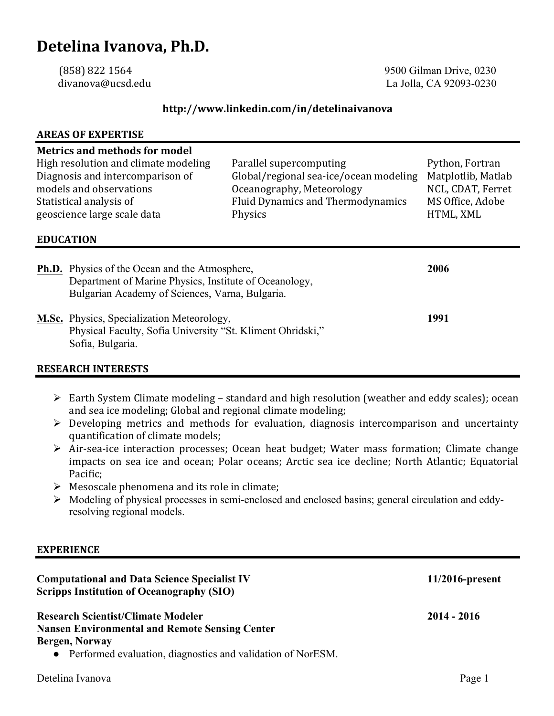# **Detelina Ivanova, Ph.D.**

(858) 822 1564 9500 Gilman Drive, 0230 divanova@ucsd.edu La Jolla, CA 92093-0230

#### **http://www.linkedin.com/in/detelinaivanova**

# **AREAS OF EXPERTISE Metrics and methods for model** High resolution and climate modeling Parallel supercomputing Python, Fortran Diagnosis and intercomparison of Global/regional sea-ice/ocean modeling Matplotlib, Matlab models and observations extending the oceanography, Meteorology NCL, CDAT, Ferret Statistical analysis of **Fluid Dynamics** and Thermodynamics MS Office, Adobe geoscience large scale data The Physics Physics entitled at the HTML, XML **EDUCATION Ph.D.** Physics of the Ocean and the Atmosphere, **2006** Department of Marine Physics, Institute of Oceanology, Bulgarian Academy of Sciences, Varna, Bulgaria. **M.Sc.** Physics, Specialization Meteorology, **1991** Physical Faculty, Sofia University "St. Kliment Ohridski," Sofia, Bulgaria.

#### **RESEARCH INTERESTS**

- $\triangleright$  Earth System Climate modeling standard and high resolution (weather and eddy scales); ocean and sea ice modeling; Global and regional climate modeling;
- $\triangleright$  Developing metrics and methods for evaluation, diagnosis intercomparison and uncertainty quantification of climate models;
- $\triangleright$  Air-sea-ice interaction processes; Ocean heat budget; Water mass formation; Climate change impacts on sea ice and ocean; Polar oceans; Arctic sea ice decline; North Atlantic; Equatorial Pacific;
- $\triangleright$  Mesoscale phenomena and its role in climate;
- Ø Modeling of physical processes in semi-enclosed and enclosed basins; general circulation and eddyresolving regional models.

#### **EXPERIENCE**

| <b>Computational and Data Science Specialist IV</b><br><b>Scripps Institution of Oceanography (SIO)</b>                                                                               | $11/2016$ -present |
|---------------------------------------------------------------------------------------------------------------------------------------------------------------------------------------|--------------------|
| <b>Research Scientist/Climate Modeler</b><br><b>Nansen Environmental and Remote Sensing Center</b><br>Bergen, Norway<br>• Performed evaluation, diagnostics and validation of NorESM. | 2014 - 2016        |
| Detelina Ivanova                                                                                                                                                                      | Page 1             |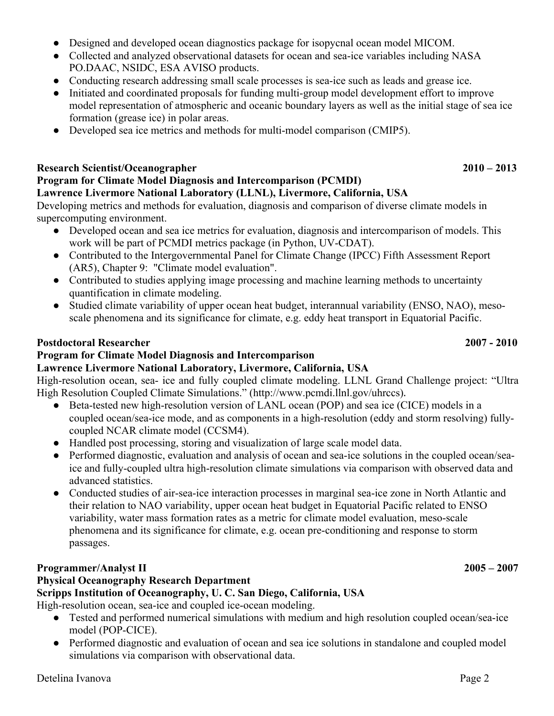- Designed and developed ocean diagnostics package for isopycnal ocean model MICOM.
- Collected and analyzed observational datasets for ocean and sea-ice variables including NASA PO.DAAC, NSIDC, ESA AVISO products.
- Conducting research addressing small scale processes is sea-ice such as leads and grease ice.
- Initiated and coordinated proposals for funding multi-group model development effort to improve model representation of atmospheric and oceanic boundary layers as well as the initial stage of sea ice formation (grease ice) in polar areas.
- Developed sea ice metrics and methods for multi-model comparison (CMIP5).

#### **Research Scientist/Oceanographer 2010 – 2013**

# **Program for Climate Model Diagnosis and Intercomparison (PCMDI)**

#### **Lawrence Livermore National Laboratory (LLNL), Livermore, California, USA**

Developing metrics and methods for evaluation, diagnosis and comparison of diverse climate models in supercomputing environment.

- Developed ocean and sea ice metrics for evaluation, diagnosis and intercomparison of models. This work will be part of PCMDI metrics package (in Python, UV-CDAT).
- Contributed to the Intergovernmental Panel for Climate Change (IPCC) Fifth Assessment Report (AR5), Chapter 9: "Climate model evaluation".
- Contributed to studies applying image processing and machine learning methods to uncertainty quantification in climate modeling.
- Studied climate variability of upper ocean heat budget, interannual variability (ENSO, NAO), mesoscale phenomena and its significance for climate, e.g. eddy heat transport in Equatorial Pacific.

## **Postdoctoral Researcher 2007 - 2010**

# **Program for Climate Model Diagnosis and Intercomparison**

## **Lawrence Livermore National Laboratory, Livermore, California, USA**

High-resolution ocean, sea- ice and fully coupled climate modeling. LLNL Grand Challenge project: "Ultra High Resolution Coupled Climate Simulations." (http://www.pcmdi.llnl.gov/uhrccs). 

- Beta-tested new high-resolution version of LANL ocean (POP) and sea ice (CICE) models in a coupled ocean/sea-ice mode, and as components in a high-resolution (eddy and storm resolving) fullycoupled NCAR climate model (CCSM4).
- Handled post processing, storing and visualization of large scale model data.
- Performed diagnostic, evaluation and analysis of ocean and sea-ice solutions in the coupled ocean/seaice and fully-coupled ultra high-resolution climate simulations via comparison with observed data and advanced statistics.
- Conducted studies of air-sea-ice interaction processes in marginal sea-ice zone in North Atlantic and their relation to NAO variability, upper ocean heat budget in Equatorial Pacific related to ENSO variability, water mass formation rates as a metric for climate model evaluation, meso-scale phenomena and its significance for climate, e.g. ocean pre-conditioning and response to storm passages.

# **Programmer/Analyst II 2005 – 2007**

## **Physical Oceanography Research Department**

## **Scripps Institution of Oceanography, U. C. San Diego, California, USA**

High-resolution ocean, sea-ice and coupled ice-ocean modeling.

- Tested and performed numerical simulations with medium and high resolution coupled ocean/sea-ice model (POP-CICE).
- Performed diagnostic and evaluation of ocean and sea ice solutions in standalone and coupled model simulations via comparison with observational data.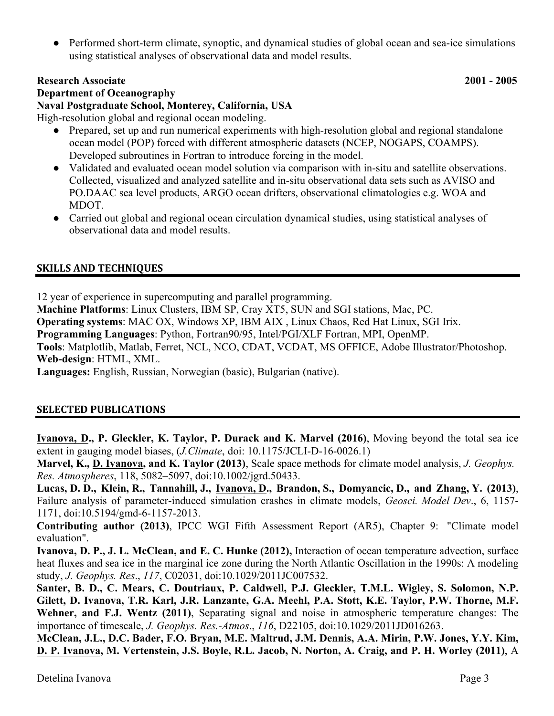• Performed short-term climate, synoptic, and dynamical studies of global ocean and sea-ice simulations using statistical analyses of observational data and model results.

#### **Research Associate 2001 - 2005**

**Department of Oceanography Naval Postgraduate School, Monterey, California, USA**

High-resolution global and regional ocean modeling.

- Prepared, set up and run numerical experiments with high-resolution global and regional standalone ocean model (POP) forced with different atmospheric datasets (NCEP, NOGAPS, COAMPS). Developed subroutines in Fortran to introduce forcing in the model.
- Validated and evaluated ocean model solution via comparison with in-situ and satellite observations. Collected, visualized and analyzed satellite and in-situ observational data sets such as AVISO and PO.DAAC sea level products, ARGO ocean drifters, observational climatologies e.g. WOA and MDOT.
- Carried out global and regional ocean circulation dynamical studies, using statistical analyses of observational data and model results.

# **SKILLS AND TECHNIQUES**

12 year of experience in supercomputing and parallel programming.

**Machine Platforms**: Linux Clusters, IBM SP, Cray XT5, SUN and SGI stations, Mac, PC.

**Operating systems**: MAC OX, Windows XP, IBM AIX , Linux Chaos, Red Hat Linux, SGI Irix.

**Programming Languages**: Python, Fortran90/95, Intel/PGI/XLF Fortran, MPI, OpenMP.

**Tools**: Matplotlib, Matlab, Ferret, NCL, NCO, CDAT, VCDAT, MS OFFICE, Adobe Illustrator/Photoshop. **Web-design**: HTML, XML.

**Languages:** English, Russian, Norwegian (basic), Bulgarian (native).

## **SELECTED PUBLICATIONS**

**Ivanova, D., P. Gleckler, K. Taylor, P. Durack and K. Marvel (2016)**, Moving beyond the total sea ice extent in gauging model biases, (*J.Climate*, doi: 10.1175/JCLI-D-16-0026.1)

**Marvel, K., D. Ivanova, and K. Taylor (2013)**, Scale space methods for climate model analysis, *J. Geophys. Res. Atmospheres*, 118, 5082–5097, doi:10.1002/jgrd.50433.

**Lucas, D. D., Klein, R., Tannahill, J., Ivanova, D., Brandon, S., Domyancic, D., and Zhang, Y. (2013)**, Failure analysis of parameter-induced simulation crashes in climate models, *Geosci. Model Dev*., 6, 1157- 1171, doi:10.5194/gmd-6-1157-2013.

**Contributing author (2013)**, IPCC WGI Fifth Assessment Report (AR5), Chapter 9: "Climate model evaluation".

**Ivanova, D. P., J. L. McClean, and E. C. Hunke (2012),** Interaction of ocean temperature advection, surface heat fluxes and sea ice in the marginal ice zone during the North Atlantic Oscillation in the 1990s: A modeling study, *J. Geophys. Res*., *117*, C02031, doi:10.1029/2011JC007532.

**Santer, B. D., C. Mears, C. Doutriaux, P. Caldwell, P.J. Gleckler, T.M.L. Wigley, S. Solomon, N.P. Gilett, D. Ivanova, T.R. Karl, J.R. Lanzante, G.A. Meehl, P.A. Stott, K.E. Taylor, P.W. Thorne, M.F. Wehner, and F.J. Wentz (2011)**, Separating signal and noise in atmospheric temperature changes: The importance of timescale, *J. Geophys. Res.-Atmos*., *116*, D22105, doi:10.1029/2011JD016263.

**McClean, J.L., D.C. Bader, F.O. Bryan, M.E. Maltrud, J.M. Dennis, A.A. Mirin, P.W. Jones, Y.Y. Kim, D. P. Ivanova, M. Vertenstein, J.S. Boyle, R.L. Jacob, N. Norton, A. Craig, and P. H. Worley (2011)**, A